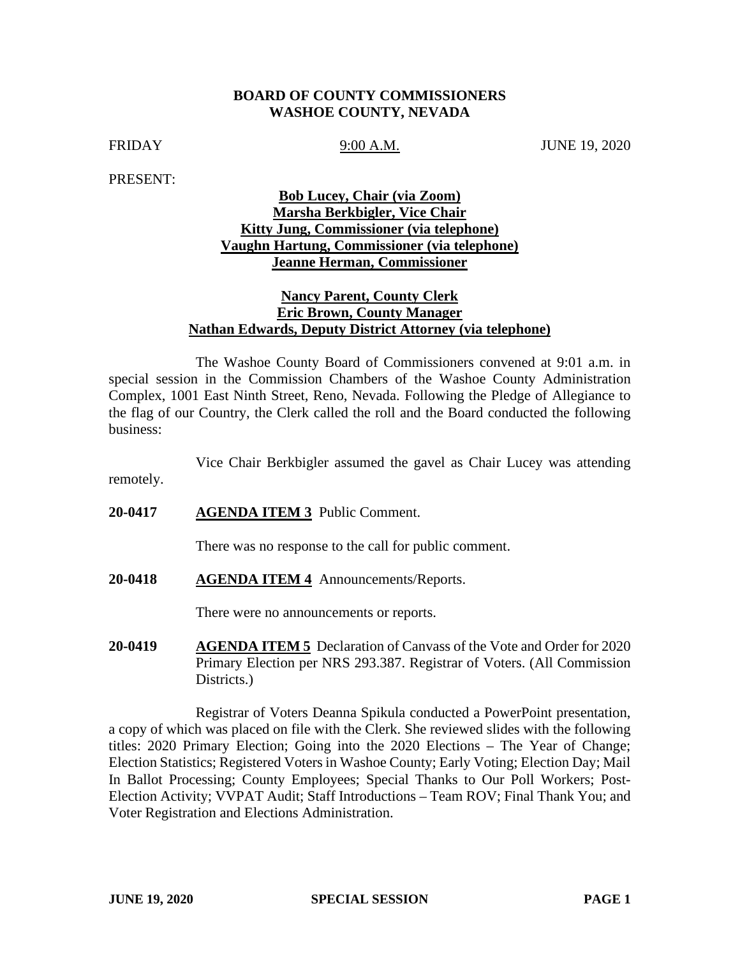#### **BOARD OF COUNTY COMMISSIONERS WASHOE COUNTY, NEVADA**

FRIDAY 9:00 A.M. JUNE 19, 2020

PRESENT:

remotely.

# **Bob Lucey, Chair (via Zoom) Marsha Berkbigler, Vice Chair Kitty Jung, Commissioner (via telephone) Vaughn Hartung, Commissioner (via telephone) Jeanne Herman, Commissioner**

## **Nancy Parent, County Clerk Eric Brown, County Manager Nathan Edwards, Deputy District Attorney (via telephone)**

The Washoe County Board of Commissioners convened at 9:01 a.m. in special session in the Commission Chambers of the Washoe County Administration Complex, 1001 East Ninth Street, Reno, Nevada. Following the Pledge of Allegiance to the flag of our Country, the Clerk called the roll and the Board conducted the following business:

Vice Chair Berkbigler assumed the gavel as Chair Lucey was attending

**20-0417 AGENDA ITEM 3** Public Comment.

There was no response to the call for public comment.

**20-0418 AGENDA ITEM 4** Announcements/Reports.

There were no announcements or reports.

**20-0419 AGENDA ITEM 5** Declaration of Canvass of the Vote and Order for 2020 Primary Election per NRS 293.387. Registrar of Voters. (All Commission Districts.

Registrar of Voters Deanna Spikula conducted a PowerPoint presentation, a copy of which was placed on file with the Clerk. She reviewed slides with the following titles: 2020 Primary Election; Going into the 2020 Elections – The Year of Change; Election Statistics; Registered Voters in Washoe County; Early Voting; Election Day; Mail In Ballot Processing; County Employees; Special Thanks to Our Poll Workers; Post-Election Activity; VVPAT Audit; Staff Introductions – Team ROV; Final Thank You; and Voter Registration and Elections Administration.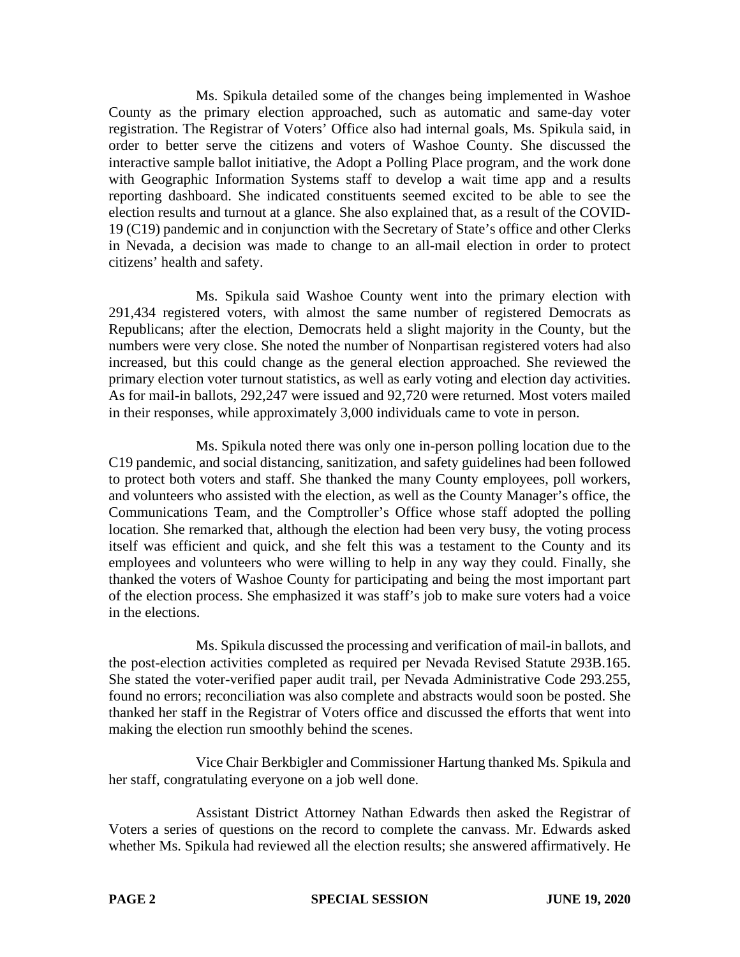Ms. Spikula detailed some of the changes being implemented in Washoe County as the primary election approached, such as automatic and same-day voter registration. The Registrar of Voters' Office also had internal goals, Ms. Spikula said, in order to better serve the citizens and voters of Washoe County. She discussed the interactive sample ballot initiative, the Adopt a Polling Place program, and the work done with Geographic Information Systems staff to develop a wait time app and a results reporting dashboard. She indicated constituents seemed excited to be able to see the election results and turnout at a glance. She also explained that, as a result of the COVID-19 (C19) pandemic and in conjunction with the Secretary of State's office and other Clerks in Nevada, a decision was made to change to an all-mail election in order to protect citizens' health and safety.

Ms. Spikula said Washoe County went into the primary election with 291,434 registered voters, with almost the same number of registered Democrats as Republicans; after the election, Democrats held a slight majority in the County, but the numbers were very close. She noted the number of Nonpartisan registered voters had also increased, but this could change as the general election approached. She reviewed the primary election voter turnout statistics, as well as early voting and election day activities. As for mail-in ballots, 292,247 were issued and 92,720 were returned. Most voters mailed in their responses, while approximately 3,000 individuals came to vote in person.

Ms. Spikula noted there was only one in-person polling location due to the C19 pandemic, and social distancing, sanitization, and safety guidelines had been followed to protect both voters and staff. She thanked the many County employees, poll workers, and volunteers who assisted with the election, as well as the County Manager's office, the Communications Team, and the Comptroller's Office whose staff adopted the polling location. She remarked that, although the election had been very busy, the voting process itself was efficient and quick, and she felt this was a testament to the County and its employees and volunteers who were willing to help in any way they could. Finally, she thanked the voters of Washoe County for participating and being the most important part of the election process. She emphasized it was staff's job to make sure voters had a voice in the elections.

Ms. Spikula discussed the processing and verification of mail-in ballots, and the post-election activities completed as required per Nevada Revised Statute 293B.165. She stated the voter-verified paper audit trail, per Nevada Administrative Code 293.255, found no errors; reconciliation was also complete and abstracts would soon be posted. She thanked her staff in the Registrar of Voters office and discussed the efforts that went into making the election run smoothly behind the scenes.

Vice Chair Berkbigler and Commissioner Hartung thanked Ms. Spikula and her staff, congratulating everyone on a job well done.

Assistant District Attorney Nathan Edwards then asked the Registrar of Voters a series of questions on the record to complete the canvass. Mr. Edwards asked whether Ms. Spikula had reviewed all the election results; she answered affirmatively. He

**PAGE 2 SPECIAL SESSION JUNE 19, 2020**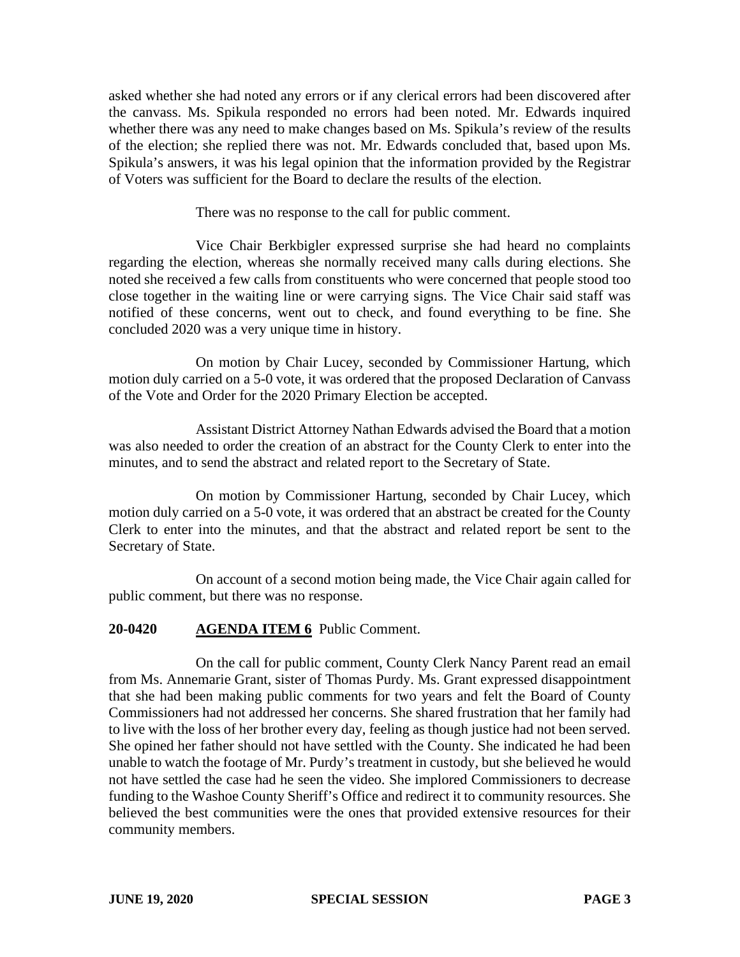asked whether she had noted any errors or if any clerical errors had been discovered after the canvass. Ms. Spikula responded no errors had been noted. Mr. Edwards inquired whether there was any need to make changes based on Ms. Spikula's review of the results of the election; she replied there was not. Mr. Edwards concluded that, based upon Ms. Spikula's answers, it was his legal opinion that the information provided by the Registrar of Voters was sufficient for the Board to declare the results of the election.

There was no response to the call for public comment.

Vice Chair Berkbigler expressed surprise she had heard no complaints regarding the election, whereas she normally received many calls during elections. She noted she received a few calls from constituents who were concerned that people stood too close together in the waiting line or were carrying signs. The Vice Chair said staff was notified of these concerns, went out to check, and found everything to be fine. She concluded 2020 was a very unique time in history.

On motion by Chair Lucey, seconded by Commissioner Hartung, which motion duly carried on a 5-0 vote, it was ordered that the proposed Declaration of Canvass of the Vote and Order for the 2020 Primary Election be accepted.

Assistant District Attorney Nathan Edwards advised the Board that a motion was also needed to order the creation of an abstract for the County Clerk to enter into the minutes, and to send the abstract and related report to the Secretary of State.

On motion by Commissioner Hartung, seconded by Chair Lucey, which motion duly carried on a 5-0 vote, it was ordered that an abstract be created for the County Clerk to enter into the minutes, and that the abstract and related report be sent to the Secretary of State.

On account of a second motion being made, the Vice Chair again called for public comment, but there was no response.

## **20-0420 AGENDA ITEM 6** Public Comment.

On the call for public comment, County Clerk Nancy Parent read an email from Ms. Annemarie Grant, sister of Thomas Purdy. Ms. Grant expressed disappointment that she had been making public comments for two years and felt the Board of County Commissioners had not addressed her concerns. She shared frustration that her family had to live with the loss of her brother every day, feeling as though justice had not been served. She opined her father should not have settled with the County. She indicated he had been unable to watch the footage of Mr. Purdy's treatment in custody, but she believed he would not have settled the case had he seen the video. She implored Commissioners to decrease funding to the Washoe County Sheriff's Office and redirect it to community resources. She believed the best communities were the ones that provided extensive resources for their community members.